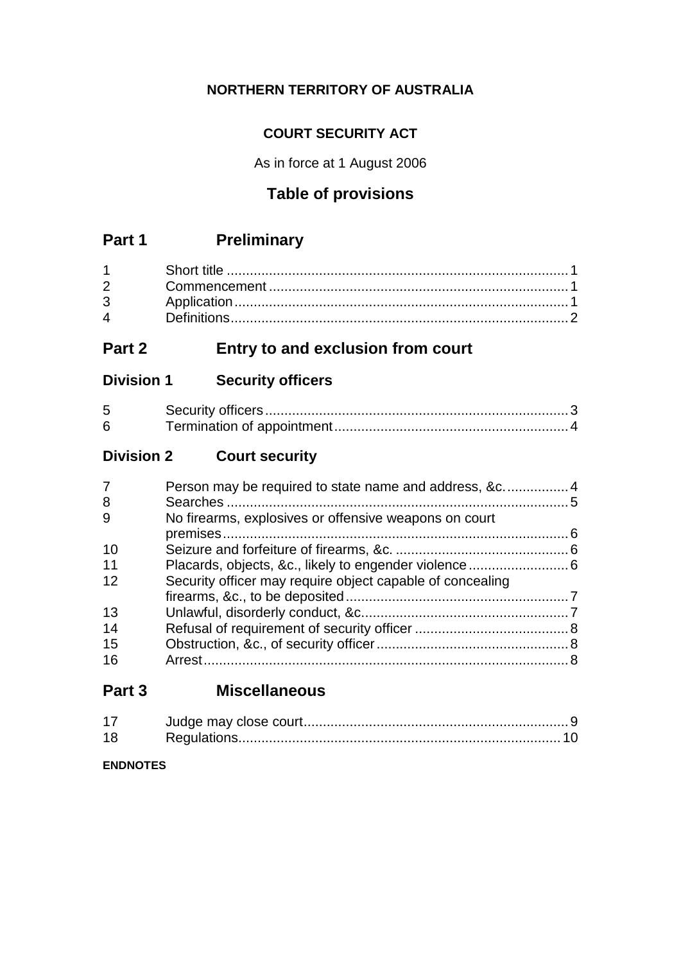## **NORTHERN TERRITORY OF AUSTRALIA**

## **COURT SECURITY ACT**

As in force at 1 August 2006

## **Table of provisions**

## **Part 1 Preliminary**

## **Part 2 Entry to and exclusion from court**

## **Division 1 Security officers**

| $5^{\circ}$ |  |
|-------------|--|
| 6           |  |

## **Division 2 Court security**

| 7  |                                                           |  |
|----|-----------------------------------------------------------|--|
| 8  |                                                           |  |
| 9  | No firearms, explosives or offensive weapons on court     |  |
|    |                                                           |  |
| 10 |                                                           |  |
| 11 |                                                           |  |
| 12 | Security officer may require object capable of concealing |  |
|    |                                                           |  |
| 13 |                                                           |  |
| 14 |                                                           |  |
| 15 |                                                           |  |
| 16 |                                                           |  |
|    |                                                           |  |

## **Part 3 Miscellaneous**

| 17 |  |
|----|--|
| 18 |  |

**ENDNOTES**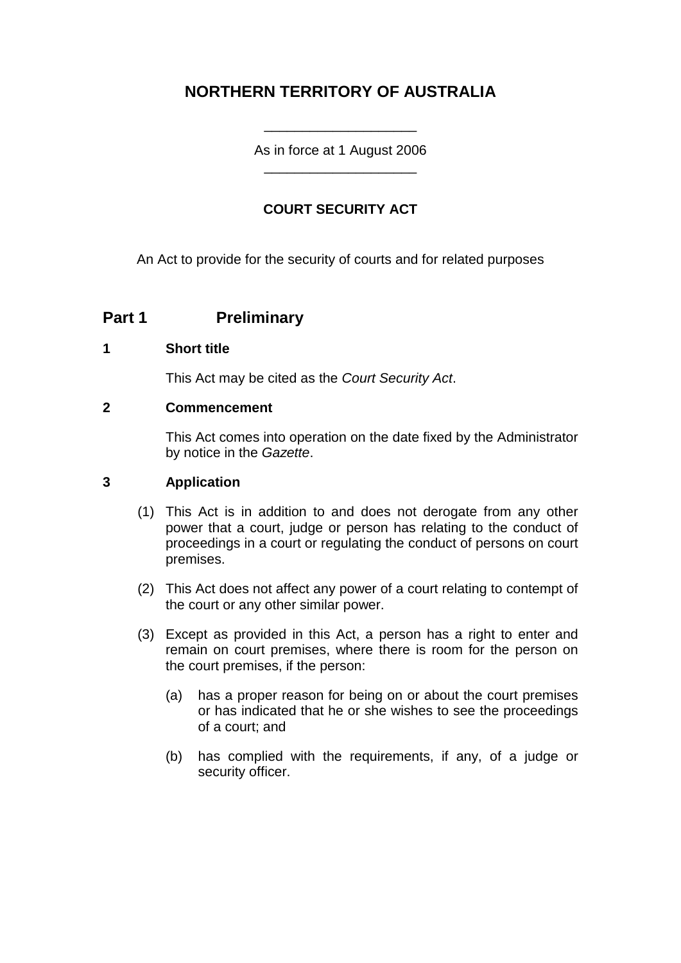## **NORTHERN TERRITORY OF AUSTRALIA**

As in force at 1 August 2006 \_\_\_\_\_\_\_\_\_\_\_\_\_\_\_\_\_\_\_\_

\_\_\_\_\_\_\_\_\_\_\_\_\_\_\_\_\_\_\_\_

#### **COURT SECURITY ACT**

An Act to provide for the security of courts and for related purposes

### **Part 1 Preliminary**

#### **1 Short title**

This Act may be cited as the *Court Security Act*.

#### **2 Commencement**

This Act comes into operation on the date fixed by the Administrator by notice in the *Gazette*.

#### **3 Application**

- (1) This Act is in addition to and does not derogate from any other power that a court, judge or person has relating to the conduct of proceedings in a court or regulating the conduct of persons on court premises.
- (2) This Act does not affect any power of a court relating to contempt of the court or any other similar power.
- (3) Except as provided in this Act, a person has a right to enter and remain on court premises, where there is room for the person on the court premises, if the person:
	- (a) has a proper reason for being on or about the court premises or has indicated that he or she wishes to see the proceedings of a court; and
	- (b) has complied with the requirements, if any, of a judge or security officer.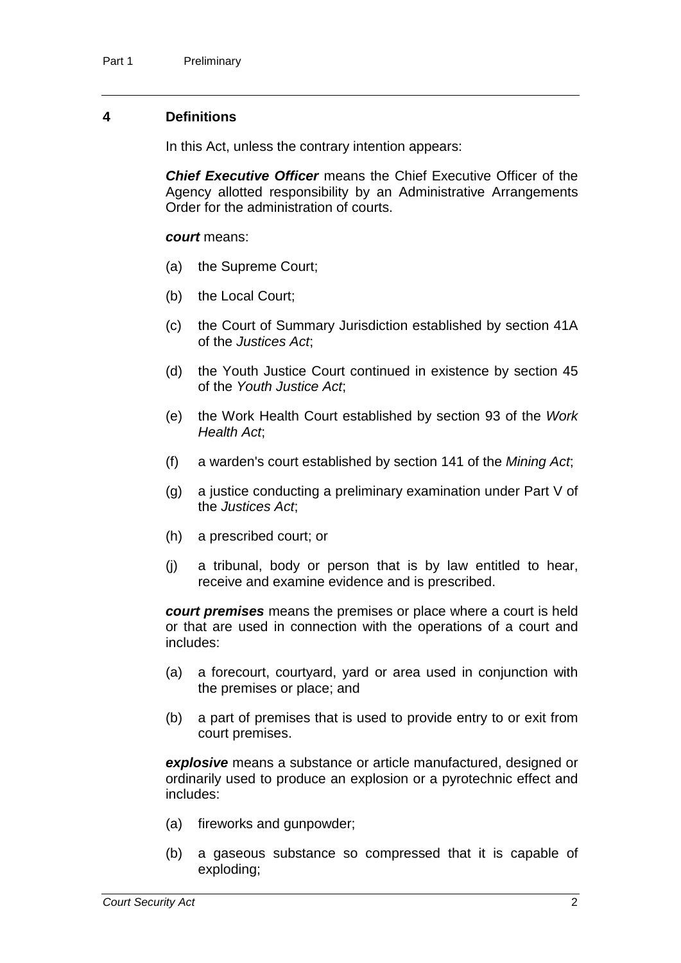#### **4 Definitions**

In this Act, unless the contrary intention appears:

*Chief Executive Officer* means the Chief Executive Officer of the Agency allotted responsibility by an Administrative Arrangements Order for the administration of courts.

#### *court* means:

- (a) the Supreme Court;
- (b) the Local Court;
- (c) the Court of Summary Jurisdiction established by section 41A of the *Justices Act*;
- (d) the Youth Justice Court continued in existence by section 45 of the *Youth Justice Act*;
- (e) the Work Health Court established by section 93 of the *Work Health Act*;
- (f) a warden's court established by section 141 of the *Mining Act*;
- (g) a justice conducting a preliminary examination under Part V of the *Justices Act*;
- (h) a prescribed court; or
- (j) a tribunal, body or person that is by law entitled to hear, receive and examine evidence and is prescribed.

*court premises* means the premises or place where a court is held or that are used in connection with the operations of a court and includes:

- (a) a forecourt, courtyard, yard or area used in conjunction with the premises or place; and
- (b) a part of premises that is used to provide entry to or exit from court premises.

*explosive* means a substance or article manufactured, designed or ordinarily used to produce an explosion or a pyrotechnic effect and includes:

- (a) fireworks and gunpowder;
- (b) a gaseous substance so compressed that it is capable of exploding;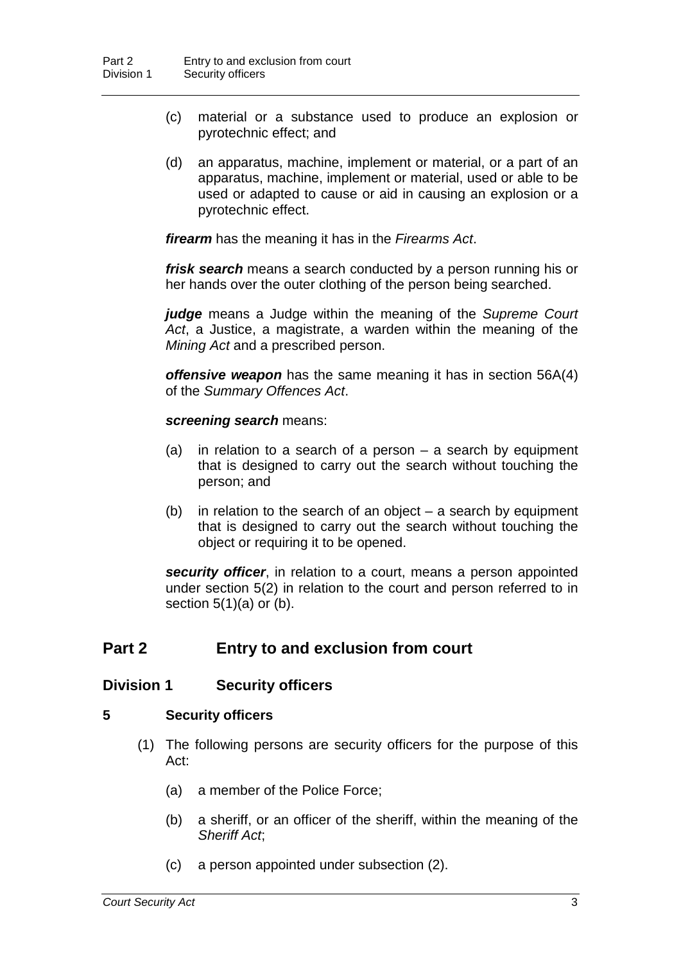- (c) material or a substance used to produce an explosion or pyrotechnic effect; and
- (d) an apparatus, machine, implement or material, or a part of an apparatus, machine, implement or material, used or able to be used or adapted to cause or aid in causing an explosion or a pyrotechnic effect.

*firearm* has the meaning it has in the *Firearms Act*.

*frisk search* means a search conducted by a person running his or her hands over the outer clothing of the person being searched.

*judge* means a Judge within the meaning of the *Supreme Court Act*, a Justice, a magistrate, a warden within the meaning of the *Mining Act* and a prescribed person.

*offensive weapon* has the same meaning it has in section 56A(4) of the *Summary Offences Act*.

#### *screening search* means:

- (a) in relation to a search of a person a search by equipment that is designed to carry out the search without touching the person; and
- (b) in relation to the search of an object  $-$  a search by equipment that is designed to carry out the search without touching the object or requiring it to be opened.

*security officer*, in relation to a court, means a person appointed under section 5(2) in relation to the court and person referred to in section  $5(1)(a)$  or  $(b)$ .

### **Part 2 Entry to and exclusion from court**

#### **Division 1 Security officers**

#### **5 Security officers**

- (1) The following persons are security officers for the purpose of this Act:
	- (a) a member of the Police Force;
	- (b) a sheriff, or an officer of the sheriff, within the meaning of the *Sheriff Act*;
	- (c) a person appointed under subsection (2).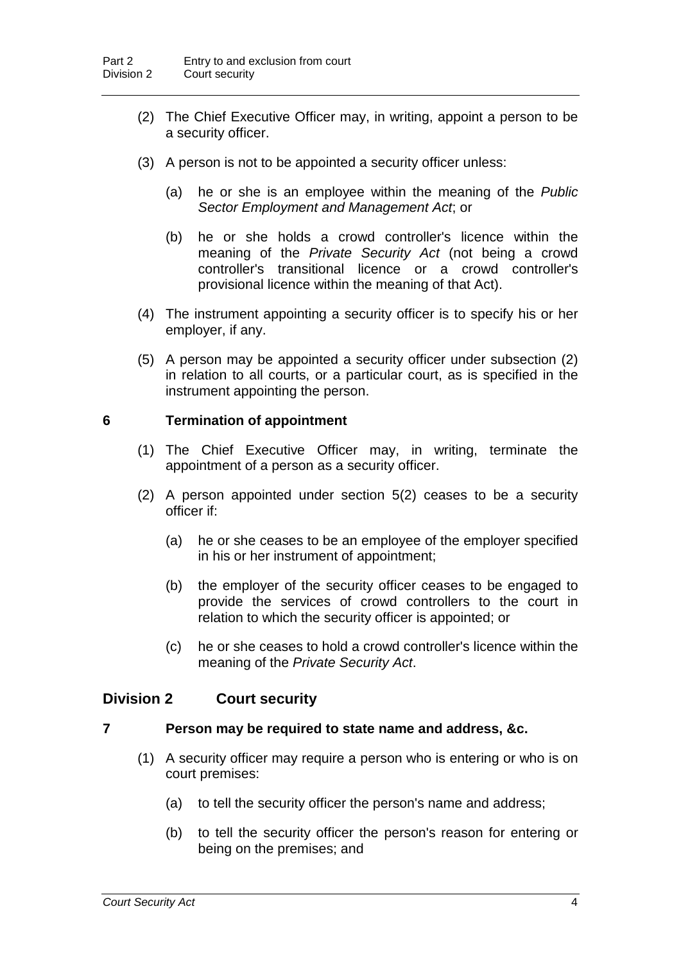- (2) The Chief Executive Officer may, in writing, appoint a person to be a security officer.
- (3) A person is not to be appointed a security officer unless:
	- (a) he or she is an employee within the meaning of the *Public Sector Employment and Management Act*; or
	- (b) he or she holds a crowd controller's licence within the meaning of the *Private Security Act* (not being a crowd controller's transitional licence or a crowd controller's provisional licence within the meaning of that Act).
- (4) The instrument appointing a security officer is to specify his or her employer, if any.
- (5) A person may be appointed a security officer under subsection (2) in relation to all courts, or a particular court, as is specified in the instrument appointing the person.

#### **6 Termination of appointment**

- (1) The Chief Executive Officer may, in writing, terminate the appointment of a person as a security officer.
- (2) A person appointed under section 5(2) ceases to be a security officer if:
	- (a) he or she ceases to be an employee of the employer specified in his or her instrument of appointment;
	- (b) the employer of the security officer ceases to be engaged to provide the services of crowd controllers to the court in relation to which the security officer is appointed; or
	- (c) he or she ceases to hold a crowd controller's licence within the meaning of the *Private Security Act*.

#### **Division 2 Court security**

#### **7 Person may be required to state name and address, &c.**

- (1) A security officer may require a person who is entering or who is on court premises:
	- (a) to tell the security officer the person's name and address;
	- (b) to tell the security officer the person's reason for entering or being on the premises; and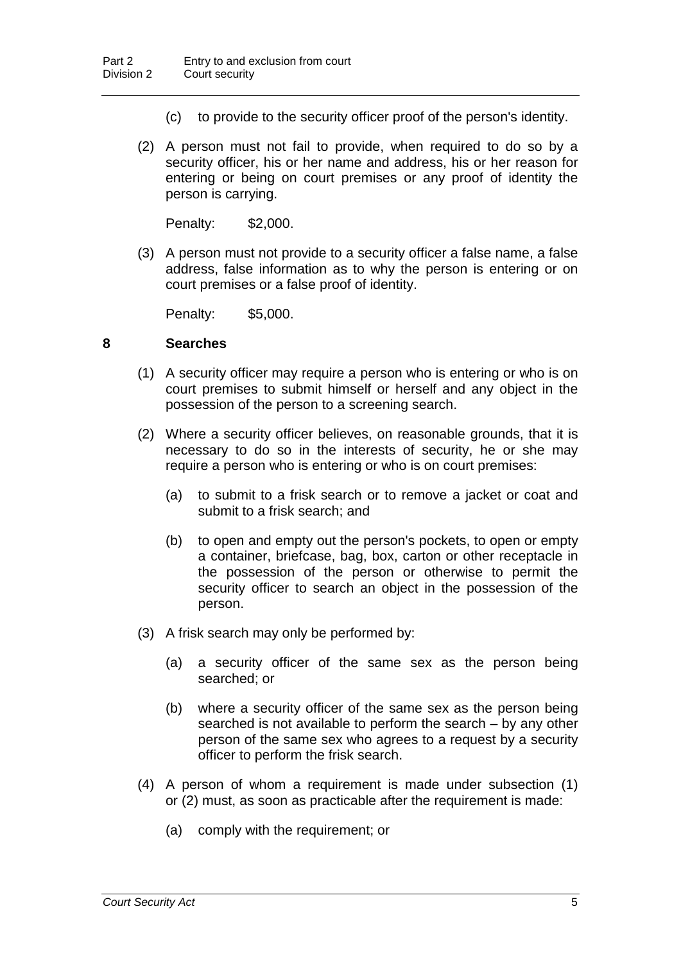- (c) to provide to the security officer proof of the person's identity.
- (2) A person must not fail to provide, when required to do so by a security officer, his or her name and address, his or her reason for entering or being on court premises or any proof of identity the person is carrying.

Penalty: \$2,000.

(3) A person must not provide to a security officer a false name, a false address, false information as to why the person is entering or on court premises or a false proof of identity.

Penalty: \$5,000.

#### **8 Searches**

- (1) A security officer may require a person who is entering or who is on court premises to submit himself or herself and any object in the possession of the person to a screening search.
- (2) Where a security officer believes, on reasonable grounds, that it is necessary to do so in the interests of security, he or she may require a person who is entering or who is on court premises:
	- (a) to submit to a frisk search or to remove a jacket or coat and submit to a frisk search; and
	- (b) to open and empty out the person's pockets, to open or empty a container, briefcase, bag, box, carton or other receptacle in the possession of the person or otherwise to permit the security officer to search an object in the possession of the person.
- (3) A frisk search may only be performed by:
	- (a) a security officer of the same sex as the person being searched; or
	- (b) where a security officer of the same sex as the person being searched is not available to perform the search – by any other person of the same sex who agrees to a request by a security officer to perform the frisk search.
- (4) A person of whom a requirement is made under subsection (1) or (2) must, as soon as practicable after the requirement is made:
	- (a) comply with the requirement; or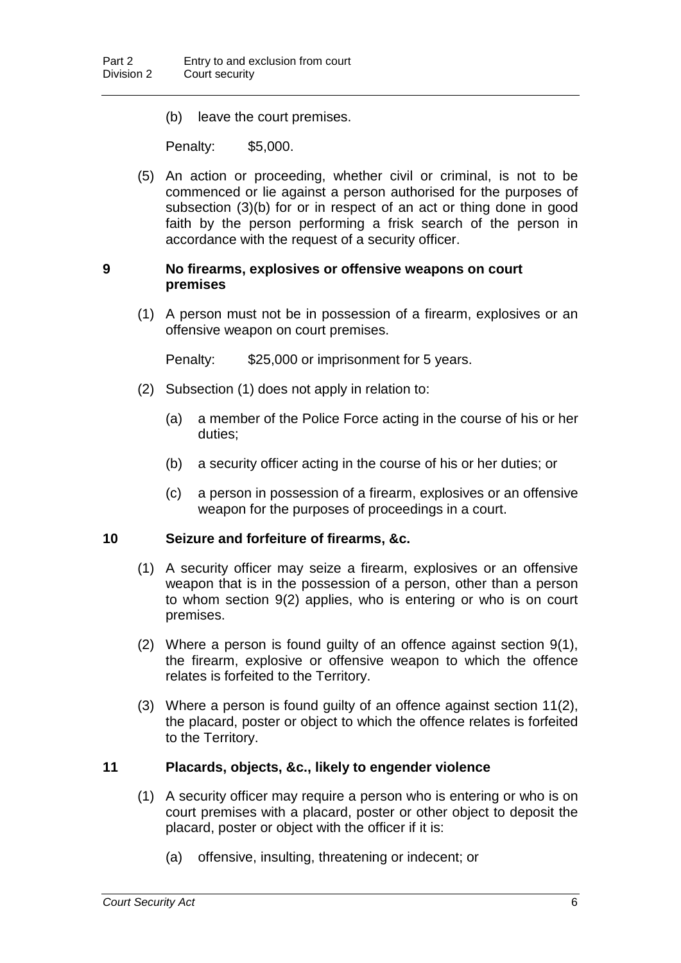(b) leave the court premises.

Penalty: \$5,000.

(5) An action or proceeding, whether civil or criminal, is not to be commenced or lie against a person authorised for the purposes of subsection (3)(b) for or in respect of an act or thing done in good faith by the person performing a frisk search of the person in accordance with the request of a security officer.

#### **9 No firearms, explosives or offensive weapons on court premises**

(1) A person must not be in possession of a firearm, explosives or an offensive weapon on court premises.

Penalty: \$25,000 or imprisonment for 5 years.

- (2) Subsection (1) does not apply in relation to:
	- (a) a member of the Police Force acting in the course of his or her duties;
	- (b) a security officer acting in the course of his or her duties; or
	- (c) a person in possession of a firearm, explosives or an offensive weapon for the purposes of proceedings in a court.

#### **10 Seizure and forfeiture of firearms, &c.**

- (1) A security officer may seize a firearm, explosives or an offensive weapon that is in the possession of a person, other than a person to whom section 9(2) applies, who is entering or who is on court premises.
- (2) Where a person is found guilty of an offence against section 9(1), the firearm, explosive or offensive weapon to which the offence relates is forfeited to the Territory.
- (3) Where a person is found guilty of an offence against section 11(2), the placard, poster or object to which the offence relates is forfeited to the Territory.

#### **11 Placards, objects, &c., likely to engender violence**

- (1) A security officer may require a person who is entering or who is on court premises with a placard, poster or other object to deposit the placard, poster or object with the officer if it is:
	- (a) offensive, insulting, threatening or indecent; or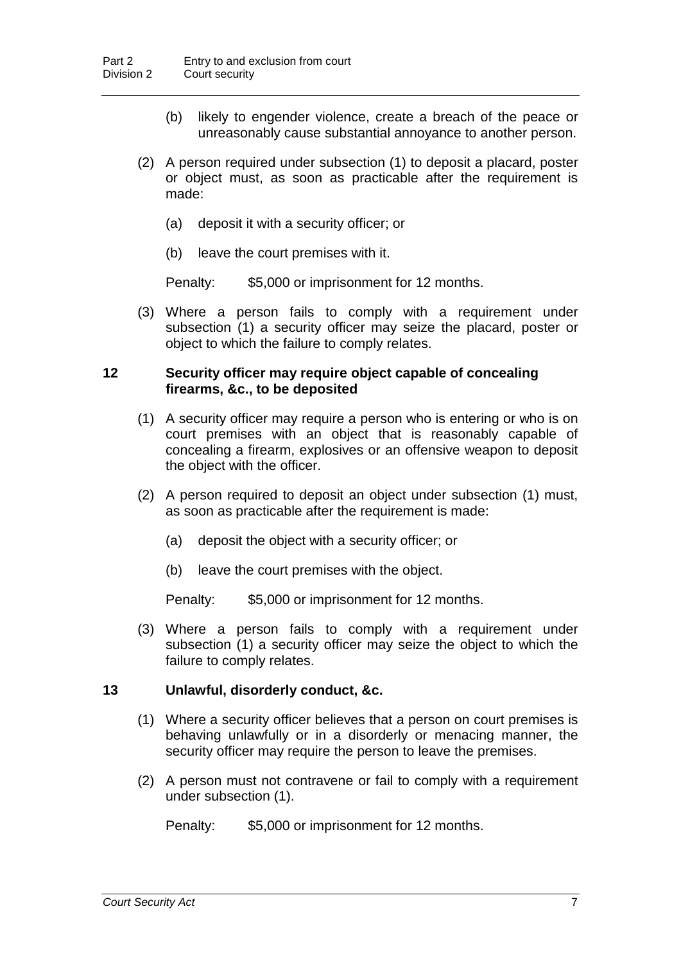- (b) likely to engender violence, create a breach of the peace or unreasonably cause substantial annoyance to another person.
- (2) A person required under subsection (1) to deposit a placard, poster or object must, as soon as practicable after the requirement is made:
	- (a) deposit it with a security officer; or
	- (b) leave the court premises with it.

Penalty: \$5,000 or imprisonment for 12 months.

(3) Where a person fails to comply with a requirement under subsection (1) a security officer may seize the placard, poster or object to which the failure to comply relates.

#### **12 Security officer may require object capable of concealing firearms, &c., to be deposited**

- (1) A security officer may require a person who is entering or who is on court premises with an object that is reasonably capable of concealing a firearm, explosives or an offensive weapon to deposit the object with the officer.
- (2) A person required to deposit an object under subsection (1) must, as soon as practicable after the requirement is made:
	- (a) deposit the object with a security officer; or
	- (b) leave the court premises with the object.

Penalty: \$5,000 or imprisonment for 12 months.

(3) Where a person fails to comply with a requirement under subsection (1) a security officer may seize the object to which the failure to comply relates.

#### **13 Unlawful, disorderly conduct, &c.**

- (1) Where a security officer believes that a person on court premises is behaving unlawfully or in a disorderly or menacing manner, the security officer may require the person to leave the premises.
- (2) A person must not contravene or fail to comply with a requirement under subsection (1).

Penalty: \$5,000 or imprisonment for 12 months.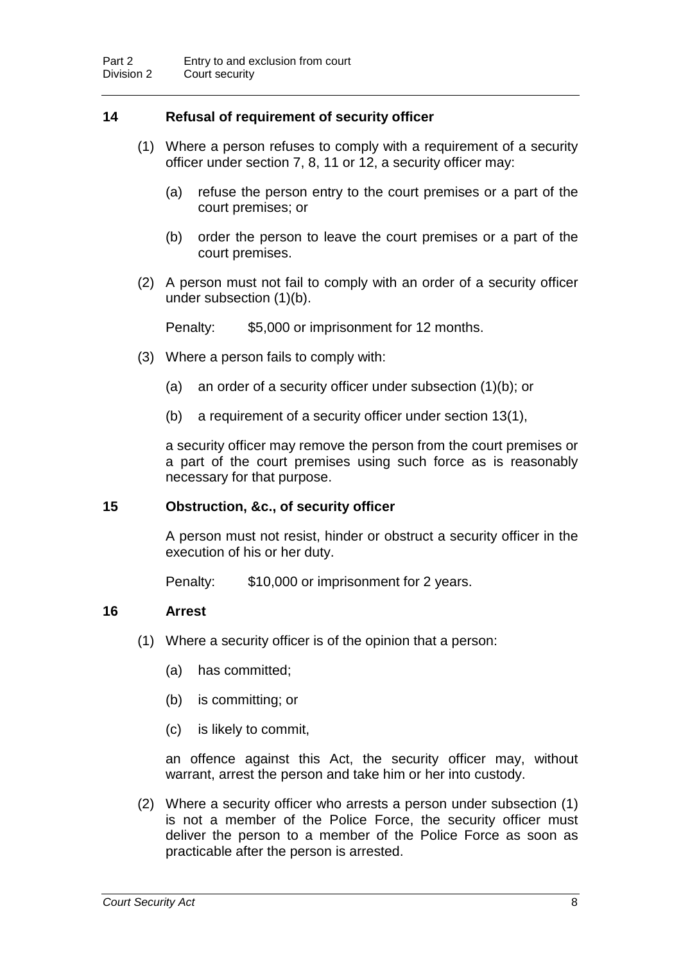#### **14 Refusal of requirement of security officer**

- (1) Where a person refuses to comply with a requirement of a security officer under section 7, 8, 11 or 12, a security officer may:
	- (a) refuse the person entry to the court premises or a part of the court premises; or
	- (b) order the person to leave the court premises or a part of the court premises.
- (2) A person must not fail to comply with an order of a security officer under subsection (1)(b).

Penalty: \$5,000 or imprisonment for 12 months.

- (3) Where a person fails to comply with:
	- (a) an order of a security officer under subsection (1)(b); or
	- (b) a requirement of a security officer under section 13(1),

a security officer may remove the person from the court premises or a part of the court premises using such force as is reasonably necessary for that purpose.

#### **15 Obstruction, &c., of security officer**

A person must not resist, hinder or obstruct a security officer in the execution of his or her duty.

Penalty: \$10,000 or imprisonment for 2 years.

#### **16 Arrest**

- (1) Where a security officer is of the opinion that a person:
	- (a) has committed;
	- (b) is committing; or
	- (c) is likely to commit,

an offence against this Act, the security officer may, without warrant, arrest the person and take him or her into custody.

(2) Where a security officer who arrests a person under subsection (1) is not a member of the Police Force, the security officer must deliver the person to a member of the Police Force as soon as practicable after the person is arrested.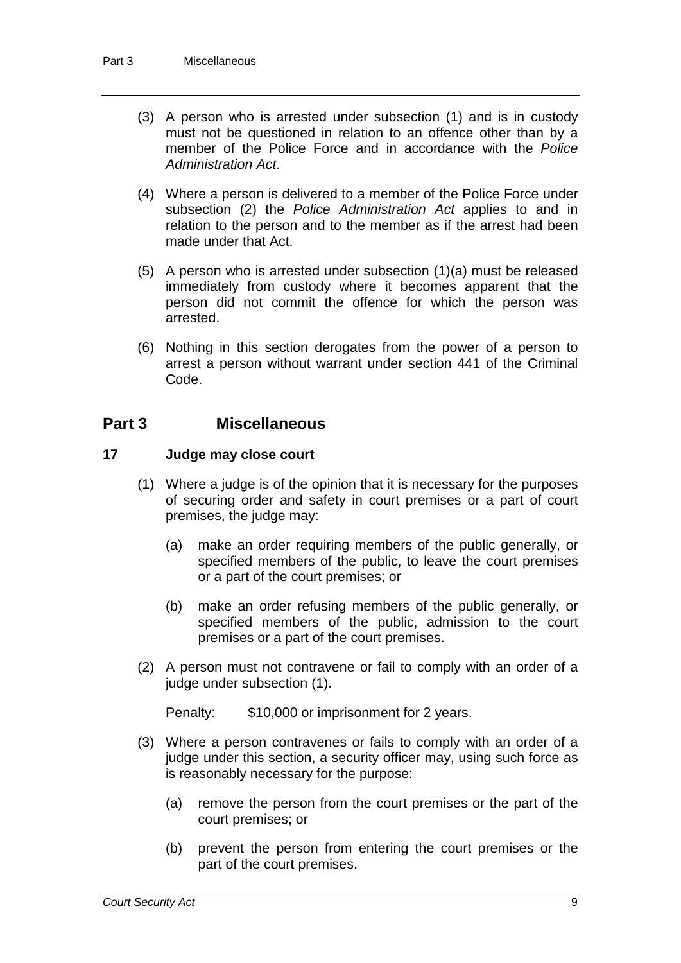- (3) A person who is arrested under subsection (1) and is in custody must not be questioned in relation to an offence other than by a member of the Police Force and in accordance with the *Police Administration Act*.
- (4) Where a person is delivered to a member of the Police Force under subsection (2) the *Police Administration Act* applies to and in relation to the person and to the member as if the arrest had been made under that Act.
- (5) A person who is arrested under subsection (1)(a) must be released immediately from custody where it becomes apparent that the person did not commit the offence for which the person was arrested.
- (6) Nothing in this section derogates from the power of a person to arrest a person without warrant under section 441 of the Criminal Code.

## **Part 3 Miscellaneous**

#### **17 Judge may close court**

- (1) Where a judge is of the opinion that it is necessary for the purposes of securing order and safety in court premises or a part of court premises, the judge may:
	- (a) make an order requiring members of the public generally, or specified members of the public, to leave the court premises or a part of the court premises; or
	- (b) make an order refusing members of the public generally, or specified members of the public, admission to the court premises or a part of the court premises.
- (2) A person must not contravene or fail to comply with an order of a judge under subsection (1).

Penalty: \$10,000 or imprisonment for 2 years.

- (3) Where a person contravenes or fails to comply with an order of a judge under this section, a security officer may, using such force as is reasonably necessary for the purpose:
	- (a) remove the person from the court premises or the part of the court premises; or
	- (b) prevent the person from entering the court premises or the part of the court premises.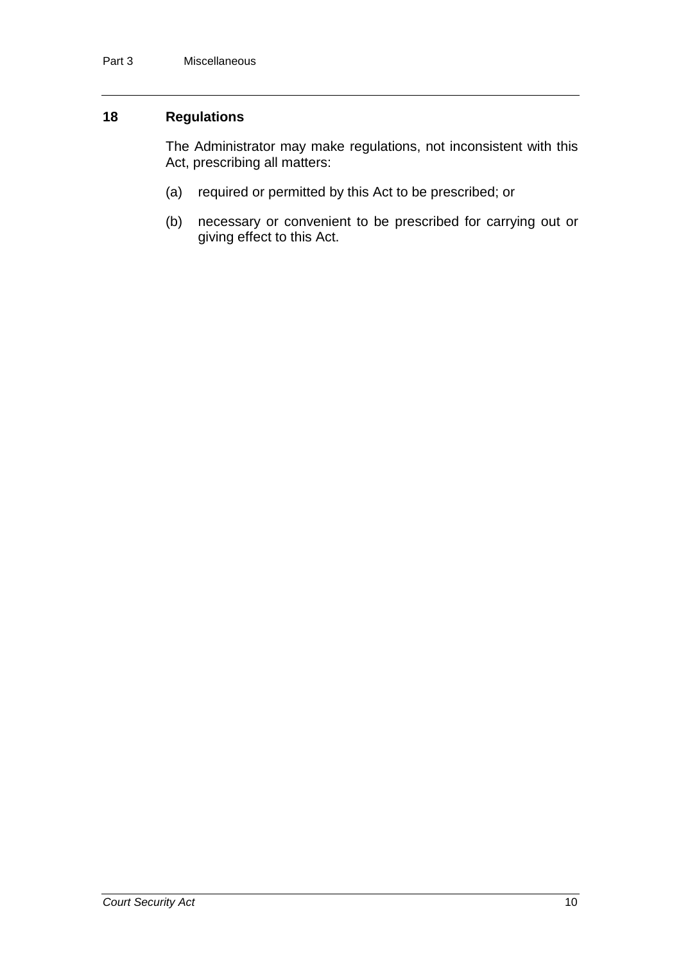#### **18 Regulations**

The Administrator may make regulations, not inconsistent with this Act, prescribing all matters:

- (a) required or permitted by this Act to be prescribed; or
- (b) necessary or convenient to be prescribed for carrying out or giving effect to this Act.